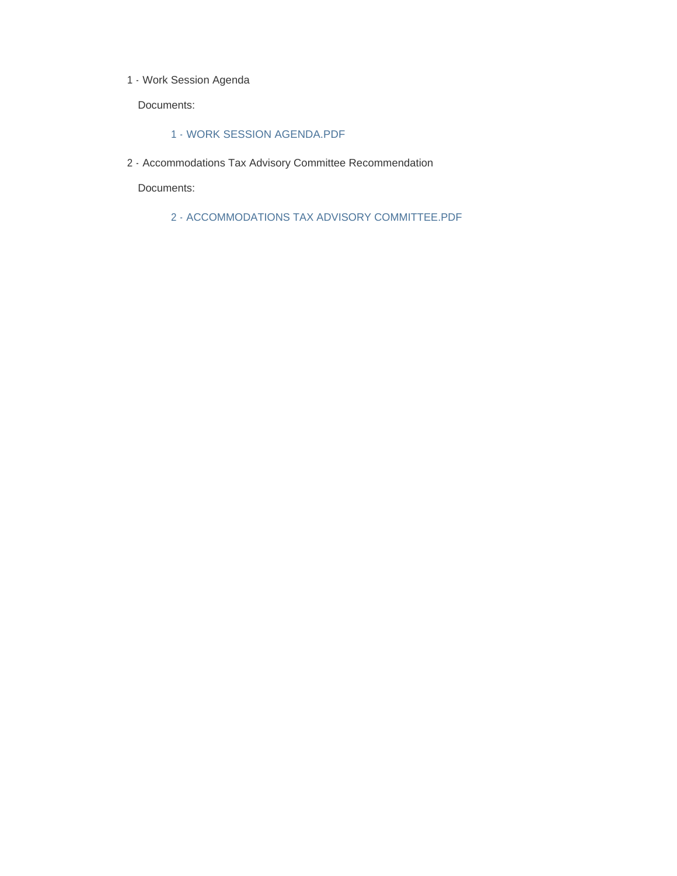1 - Work Session Agenda

Documents:

#### 1 - WORK SESSION AGENDA.PDF

2 - Accommodations Tax Advisory Committee Recommendation

Documents:

2 - ACCOMMODATIONS TAX ADVISORY COMMITTEE.PDF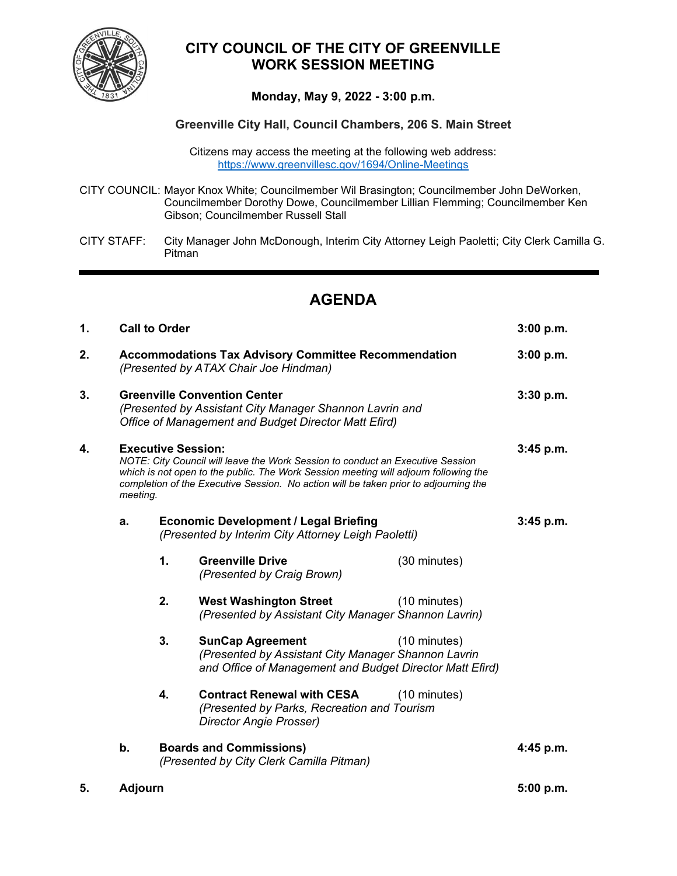

# **CITY COUNCIL OF THE CITY OF GREENVILLE WORK SESSION MEETING**

## **Monday, May 9, 2022 - 3:00 p.m.**

## **Greenville City Hall, Council Chambers, 206 S. Main Street**

Citizens may access the meeting at the following web address: <https://www.greenvillesc.gov/1694/Online-Meetings>

- CITY COUNCIL: Mayor Knox White; Councilmember Wil Brasington; Councilmember John DeWorken, Councilmember Dorothy Dowe, Councilmember Lillian Flemming; Councilmember Ken Gibson; Councilmember Russell Stall
- CITY STAFF: City Manager John McDonough, Interim City Attorney Leigh Paoletti; City Clerk Camilla G. Pitman

# **AGENDA**

| 1. | <b>Call to Order</b>                                                                                                                                                                                                                                                                                    |                                                                                                     |                                                                                                                                            | 3:00 p.m.              |           |
|----|---------------------------------------------------------------------------------------------------------------------------------------------------------------------------------------------------------------------------------------------------------------------------------------------------------|-----------------------------------------------------------------------------------------------------|--------------------------------------------------------------------------------------------------------------------------------------------|------------------------|-----------|
| 2. | <b>Accommodations Tax Advisory Committee Recommendation</b><br>(Presented by ATAX Chair Joe Hindman)                                                                                                                                                                                                    |                                                                                                     |                                                                                                                                            |                        | 3:00 p.m. |
| 3. | <b>Greenville Convention Center</b><br>(Presented by Assistant City Manager Shannon Lavrin and<br>Office of Management and Budget Director Matt Efird)                                                                                                                                                  |                                                                                                     |                                                                                                                                            |                        | 3:30 p.m. |
| 4. | <b>Executive Session:</b><br>NOTE: City Council will leave the Work Session to conduct an Executive Session<br>which is not open to the public. The Work Session meeting will adjourn following the<br>completion of the Executive Session. No action will be taken prior to adjourning the<br>meeting. |                                                                                                     |                                                                                                                                            |                        | 3:45 p.m. |
|    | a.                                                                                                                                                                                                                                                                                                      | <b>Economic Development / Legal Briefing</b><br>(Presented by Interim City Attorney Leigh Paoletti) |                                                                                                                                            |                        | 3:45 p.m. |
|    |                                                                                                                                                                                                                                                                                                         | 1.                                                                                                  | <b>Greenville Drive</b><br>(Presented by Craig Brown)                                                                                      | (30 minutes)           |           |
|    |                                                                                                                                                                                                                                                                                                         | 2.                                                                                                  | <b>West Washington Street</b><br>(Presented by Assistant City Manager Shannon Lavrin)                                                      | (10 minutes)           |           |
|    |                                                                                                                                                                                                                                                                                                         | 3.                                                                                                  | <b>SunCap Agreement</b><br>(Presented by Assistant City Manager Shannon Lavrin<br>and Office of Management and Budget Director Matt Efird) | (10 minutes)           |           |
|    |                                                                                                                                                                                                                                                                                                         | 4.                                                                                                  | <b>Contract Renewal with CESA</b><br>(Presented by Parks, Recreation and Tourism<br>Director Angie Prosser)                                | $(10 \text{ minutes})$ |           |
|    | b.<br><b>Boards and Commissions)</b><br>(Presented by City Clerk Camilla Pitman)                                                                                                                                                                                                                        |                                                                                                     |                                                                                                                                            | 4:45 p.m.              |           |
| 5. | <b>Adjourn</b>                                                                                                                                                                                                                                                                                          |                                                                                                     |                                                                                                                                            | 5:00 p.m.              |           |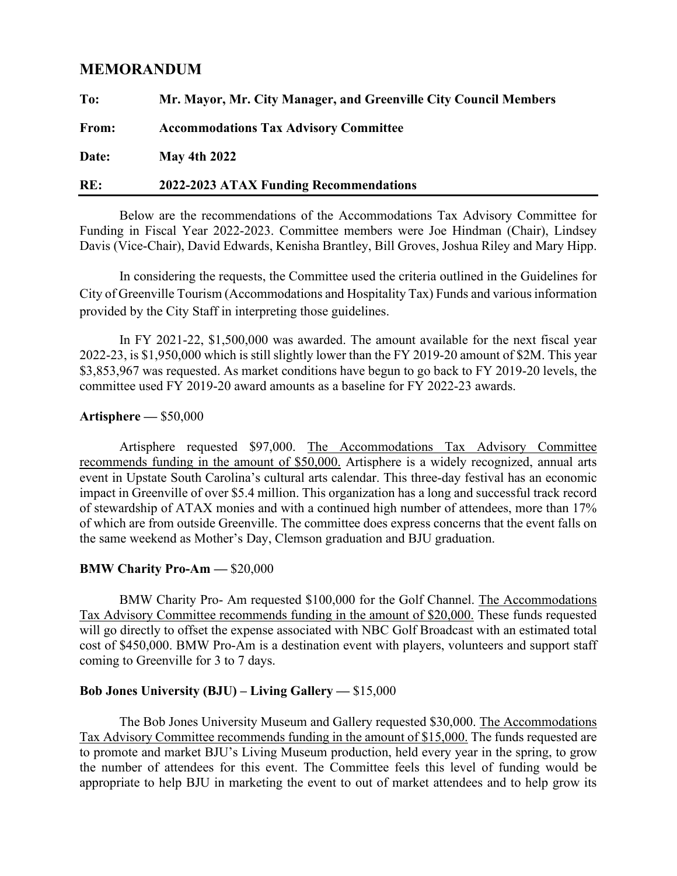## **MEMORANDUM**

| To:   | Mr. Mayor, Mr. City Manager, and Greenville City Council Members |  |
|-------|------------------------------------------------------------------|--|
| From: | <b>Accommodations Tax Advisory Committee</b>                     |  |
| Date: | <b>May 4th 2022</b>                                              |  |
| RE:   | 2022-2023 ATAX Funding Recommendations                           |  |

Below are the recommendations of the Accommodations Tax Advisory Committee for Funding in Fiscal Year 2022-2023. Committee members were Joe Hindman (Chair), Lindsey Davis (Vice-Chair), David Edwards, Kenisha Brantley, Bill Groves, Joshua Riley and Mary Hipp.

In considering the requests, the Committee used the criteria outlined in the Guidelines for City of Greenville Tourism (Accommodations and Hospitality Tax) Funds and various information provided by the City Staff in interpreting those guidelines.

In FY 2021-22, \$1,500,000 was awarded. The amount available for the next fiscal year 2022-23, is \$1,950,000 which is still slightly lower than the FY 2019-20 amount of \$2M. This year \$3,853,967 was requested. As market conditions have begun to go back to FY 2019-20 levels, the committee used FY 2019-20 award amounts as a baseline for FY 2022-23 awards.

## **Artisphere —** \$50,000

Artisphere requested \$97,000. The Accommodations Tax Advisory Committee recommends funding in the amount of \$50,000. Artisphere is a widely recognized, annual arts event in Upstate South Carolina's cultural arts calendar. This three-day festival has an economic impact in Greenville of over \$5.4 million. This organization has a long and successful track record of stewardship of ATAX monies and with a continued high number of attendees, more than 17% of which are from outside Greenville. The committee does express concerns that the event falls on the same weekend as Mother's Day, Clemson graduation and BJU graduation.

## **BMW Charity Pro-Am —** \$20,000

BMW Charity Pro- Am requested \$100,000 for the Golf Channel. The Accommodations Tax Advisory Committee recommends funding in the amount of \$20,000. These funds requested will go directly to offset the expense associated with NBC Golf Broadcast with an estimated total cost of \$450,000. BMW Pro-Am is a destination event with players, volunteers and support staff coming to Greenville for 3 to 7 days.

## **Bob Jones University (BJU) – Living Gallery —** \$15,000

The Bob Jones University Museum and Gallery requested \$30,000. The Accommodations Tax Advisory Committee recommends funding in the amount of \$15,000. The funds requested are to promote and market BJU's Living Museum production, held every year in the spring, to grow the number of attendees for this event. The Committee feels this level of funding would be appropriate to help BJU in marketing the event to out of market attendees and to help grow its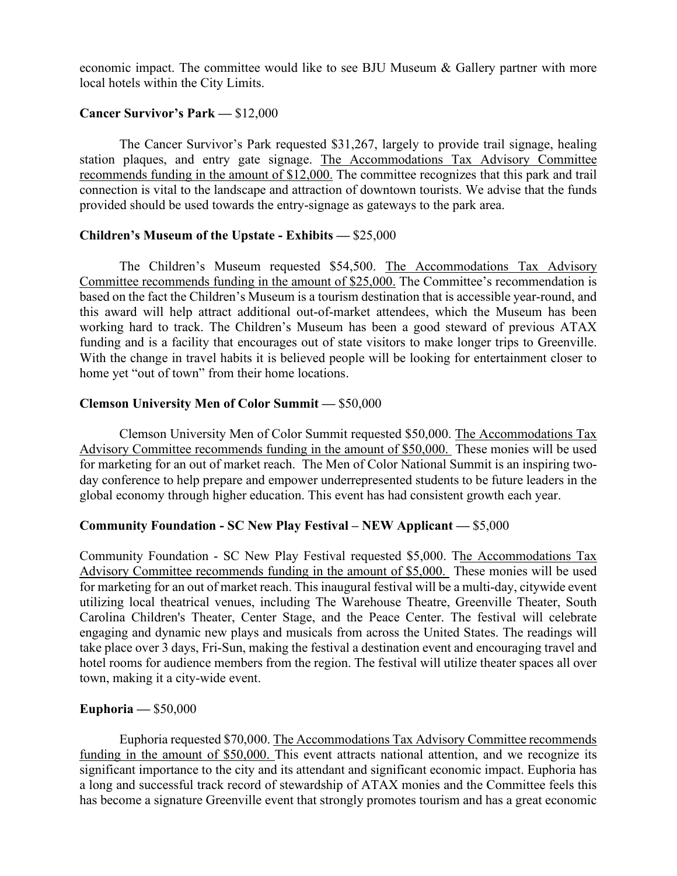economic impact. The committee would like to see BJU Museum & Gallery partner with more local hotels within the City Limits.

## **Cancer Survivor's Park —** \$12,000

The Cancer Survivor's Park requested \$31,267, largely to provide trail signage, healing station plaques, and entry gate signage. The Accommodations Tax Advisory Committee recommends funding in the amount of \$12,000. The committee recognizes that this park and trail connection is vital to the landscape and attraction of downtown tourists. We advise that the funds provided should be used towards the entry-signage as gateways to the park area.

## **Children's Museum of the Upstate - Exhibits —** \$25,000

The Children's Museum requested \$54,500. The Accommodations Tax Advisory Committee recommends funding in the amount of \$25,000. The Committee's recommendation is based on the fact the Children's Museum is a tourism destination that is accessible year-round, and this award will help attract additional out-of-market attendees, which the Museum has been working hard to track. The Children's Museum has been a good steward of previous ATAX funding and is a facility that encourages out of state visitors to make longer trips to Greenville. With the change in travel habits it is believed people will be looking for entertainment closer to home yet "out of town" from their home locations.

## **Clemson University Men of Color Summit —** \$50,000

Clemson University Men of Color Summit requested \$50,000. The Accommodations Tax Advisory Committee recommends funding in the amount of \$50,000. These monies will be used for marketing for an out of market reach. The Men of Color National Summit is an inspiring twoday conference to help prepare and empower underrepresented students to be future leaders in the global economy through higher education. This event has had consistent growth each year.

## **Community Foundation - SC New Play Festival – NEW Applicant —** \$5,000

Community Foundation - SC New Play Festival requested \$5,000. The Accommodations Tax Advisory Committee recommends funding in the amount of \$5,000. These monies will be used for marketing for an out of market reach. This inaugural festival will be a multi-day, citywide event utilizing local theatrical venues, including The Warehouse Theatre, Greenville Theater, South Carolina Children's Theater, Center Stage, and the Peace Center. The festival will celebrate engaging and dynamic new plays and musicals from across the United States. The readings will take place over 3 days, Fri-Sun, making the festival a destination event and encouraging travel and hotel rooms for audience members from the region. The festival will utilize theater spaces all over town, making it a city-wide event.

## **Euphoria —** \$50,000

Euphoria requested \$70,000. The Accommodations Tax Advisory Committee recommends funding in the amount of \$50,000. This event attracts national attention, and we recognize its significant importance to the city and its attendant and significant economic impact. Euphoria has a long and successful track record of stewardship of ATAX monies and the Committee feels this has become a signature Greenville event that strongly promotes tourism and has a great economic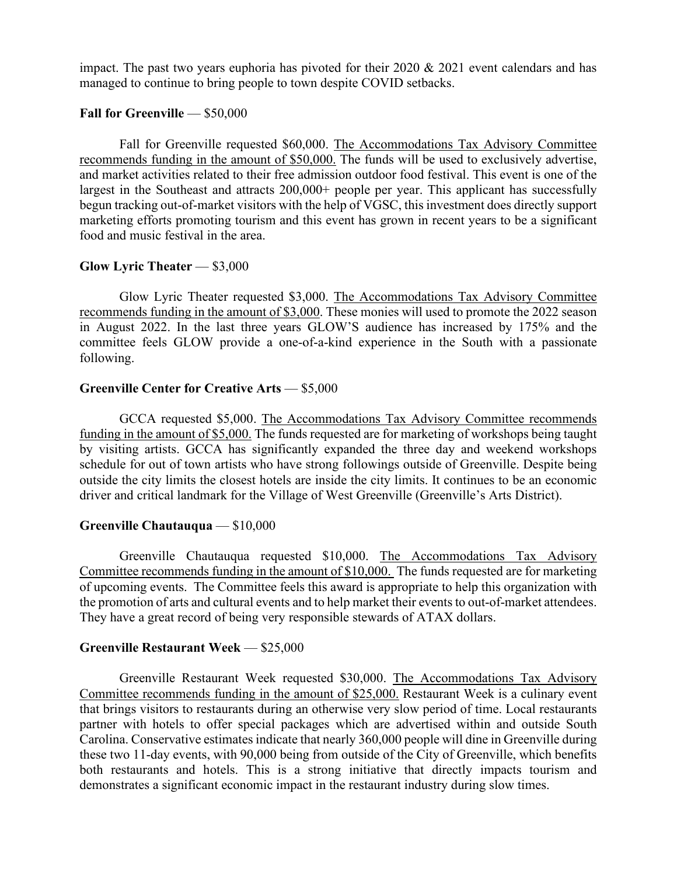impact. The past two years euphoria has pivoted for their 2020 & 2021 event calendars and has managed to continue to bring people to town despite COVID setbacks.

## **Fall for Greenville** — \$50,000

Fall for Greenville requested \$60,000. The Accommodations Tax Advisory Committee recommends funding in the amount of \$50,000. The funds will be used to exclusively advertise, and market activities related to their free admission outdoor food festival. This event is one of the largest in the Southeast and attracts 200,000+ people per year. This applicant has successfully begun tracking out-of-market visitors with the help of VGSC, this investment does directly support marketing efforts promoting tourism and this event has grown in recent years to be a significant food and music festival in the area.

#### **Glow Lyric Theater** — \$3,000

Glow Lyric Theater requested \$3,000. The Accommodations Tax Advisory Committee recommends funding in the amount of \$3,000. These monies will used to promote the 2022 season in August 2022. In the last three years GLOW'S audience has increased by 175% and the committee feels GLOW provide a one-of-a-kind experience in the South with a passionate following.

#### **Greenville Center for Creative Arts** — \$5,000

GCCA requested \$5,000. The Accommodations Tax Advisory Committee recommends funding in the amount of \$5,000. The funds requested are for marketing of workshops being taught by visiting artists. GCCA has significantly expanded the three day and weekend workshops schedule for out of town artists who have strong followings outside of Greenville. Despite being outside the city limits the closest hotels are inside the city limits. It continues to be an economic driver and critical landmark for the Village of West Greenville (Greenville's Arts District).

## **Greenville Chautauqua** — \$10,000

Greenville Chautauqua requested \$10,000. The Accommodations Tax Advisory Committee recommends funding in the amount of \$10,000. The funds requested are for marketing of upcoming events. The Committee feels this award is appropriate to help this organization with the promotion of arts and cultural events and to help market their events to out-of-market attendees. They have a great record of being very responsible stewards of ATAX dollars.

## **Greenville Restaurant Week** — \$25,000

Greenville Restaurant Week requested \$30,000. The Accommodations Tax Advisory Committee recommends funding in the amount of \$25,000. Restaurant Week is a culinary event that brings visitors to restaurants during an otherwise very slow period of time. Local restaurants partner with hotels to offer special packages which are advertised within and outside South Carolina. Conservative estimates indicate that nearly 360,000 people will dine in Greenville during these two 11-day events, with 90,000 being from outside of the City of Greenville, which benefits both restaurants and hotels. This is a strong initiative that directly impacts tourism and demonstrates a significant economic impact in the restaurant industry during slow times.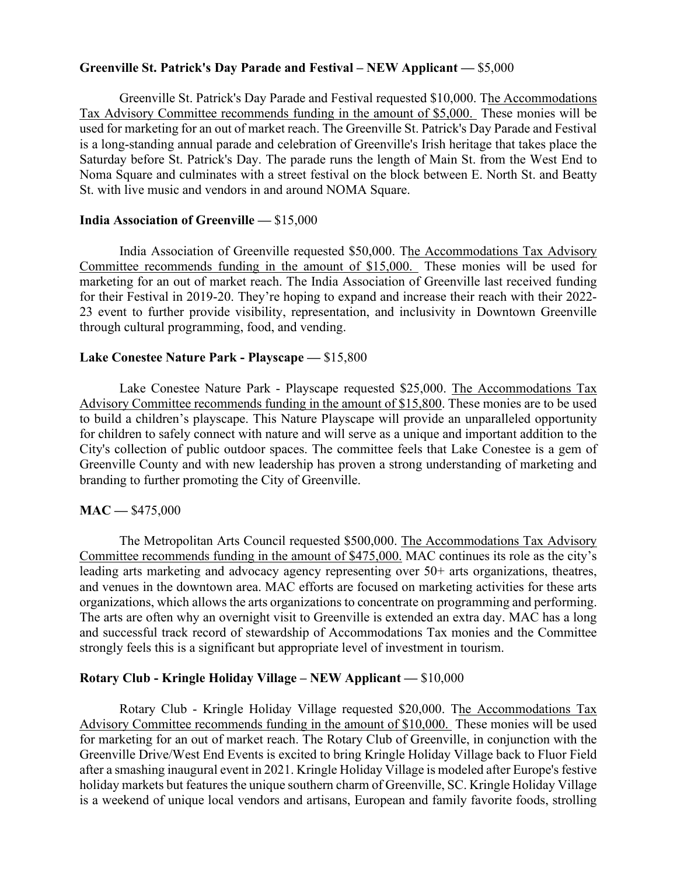## **Greenville St. Patrick's Day Parade and Festival – NEW Applicant —** \$5,000

Greenville St. Patrick's Day Parade and Festival requested \$10,000. The Accommodations Tax Advisory Committee recommends funding in the amount of \$5,000. These monies will be used for marketing for an out of market reach. The Greenville St. Patrick's Day Parade and Festival is a long-standing annual parade and celebration of Greenville's Irish heritage that takes place the Saturday before St. Patrick's Day. The parade runs the length of Main St. from the West End to Noma Square and culminates with a street festival on the block between E. North St. and Beatty St. with live music and vendors in and around NOMA Square.

## **India Association of Greenville —** \$15,000

India Association of Greenville requested \$50,000. The Accommodations Tax Advisory Committee recommends funding in the amount of \$15,000. These monies will be used for marketing for an out of market reach. The India Association of Greenville last received funding for their Festival in 2019-20. They're hoping to expand and increase their reach with their 2022- 23 event to further provide visibility, representation, and inclusivity in Downtown Greenville through cultural programming, food, and vending.

## **Lake Conestee Nature Park - Playscape —** \$15,800

Lake Conestee Nature Park - Playscape requested \$25,000. The Accommodations Tax Advisory Committee recommends funding in the amount of \$15,800. These monies are to be used to build a children's playscape. This Nature Playscape will provide an unparalleled opportunity for children to safely connect with nature and will serve as a unique and important addition to the City's collection of public outdoor spaces. The committee feels that Lake Conestee is a gem of Greenville County and with new leadership has proven a strong understanding of marketing and branding to further promoting the City of Greenville.

## **MAC —** \$475,000

The Metropolitan Arts Council requested \$500,000. The Accommodations Tax Advisory Committee recommends funding in the amount of \$475,000. MAC continues its role as the city's leading arts marketing and advocacy agency representing over 50+ arts organizations, theatres, and venues in the downtown area. MAC efforts are focused on marketing activities for these arts organizations, which allows the arts organizations to concentrate on programming and performing. The arts are often why an overnight visit to Greenville is extended an extra day. MAC has a long and successful track record of stewardship of Accommodations Tax monies and the Committee strongly feels this is a significant but appropriate level of investment in tourism.

## **Rotary Club - Kringle Holiday Village – NEW Applicant —** \$10,000

Rotary Club - Kringle Holiday Village requested \$20,000. The Accommodations Tax Advisory Committee recommends funding in the amount of \$10,000. These monies will be used for marketing for an out of market reach. The Rotary Club of Greenville, in conjunction with the Greenville Drive/West End Events is excited to bring Kringle Holiday Village back to Fluor Field after a smashing inaugural event in 2021. Kringle Holiday Village is modeled after Europe's festive holiday markets but features the unique southern charm of Greenville, SC. Kringle Holiday Village is a weekend of unique local vendors and artisans, European and family favorite foods, strolling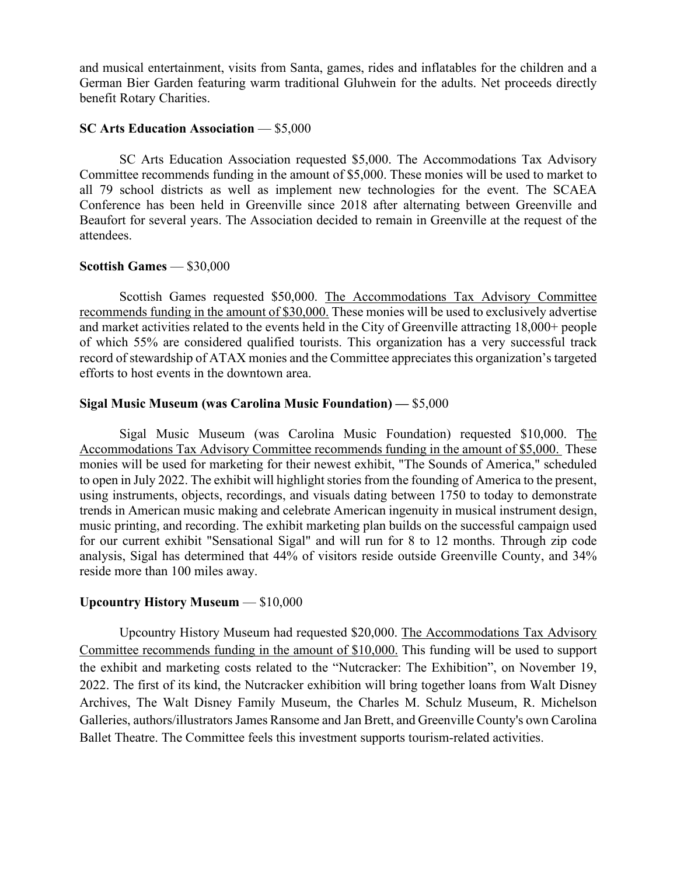and musical entertainment, visits from Santa, games, rides and inflatables for the children and a German Bier Garden featuring warm traditional Gluhwein for the adults. Net proceeds directly benefit Rotary Charities.

#### **SC Arts Education Association** — \$5,000

SC Arts Education Association requested \$5,000. The Accommodations Tax Advisory Committee recommends funding in the amount of \$5,000. These monies will be used to market to all 79 school districts as well as implement new technologies for the event. The SCAEA Conference has been held in Greenville since 2018 after alternating between Greenville and Beaufort for several years. The Association decided to remain in Greenville at the request of the attendees.

## **Scottish Games** — \$30,000

Scottish Games requested \$50,000. The Accommodations Tax Advisory Committee recommends funding in the amount of \$30,000. These monies will be used to exclusively advertise and market activities related to the events held in the City of Greenville attracting 18,000+ people of which 55% are considered qualified tourists. This organization has a very successful track record of stewardship of ATAX monies and the Committee appreciates this organization's targeted efforts to host events in the downtown area.

#### **Sigal Music Museum (was Carolina Music Foundation) —** \$5,000

Sigal Music Museum (was Carolina Music Foundation) requested \$10,000. The Accommodations Tax Advisory Committee recommends funding in the amount of \$5,000. These monies will be used for marketing for their newest exhibit, "The Sounds of America," scheduled to open in July 2022. The exhibit will highlight stories from the founding of America to the present, using instruments, objects, recordings, and visuals dating between 1750 to today to demonstrate trends in American music making and celebrate American ingenuity in musical instrument design, music printing, and recording. The exhibit marketing plan builds on the successful campaign used for our current exhibit "Sensational Sigal" and will run for 8 to 12 months. Through zip code analysis, Sigal has determined that 44% of visitors reside outside Greenville County, and 34% reside more than 100 miles away.

## **Upcountry History Museum** — \$10,000

Upcountry History Museum had requested \$20,000. The Accommodations Tax Advisory Committee recommends funding in the amount of \$10,000. This funding will be used to support the exhibit and marketing costs related to the "Nutcracker: The Exhibition", on November 19, 2022. The first of its kind, the Nutcracker exhibition will bring together loans from Walt Disney Archives, The Walt Disney Family Museum, the Charles M. Schulz Museum, R. Michelson Galleries, authors/illustrators James Ransome and Jan Brett, and Greenville County's own Carolina Ballet Theatre. The Committee feels this investment supports tourism-related activities.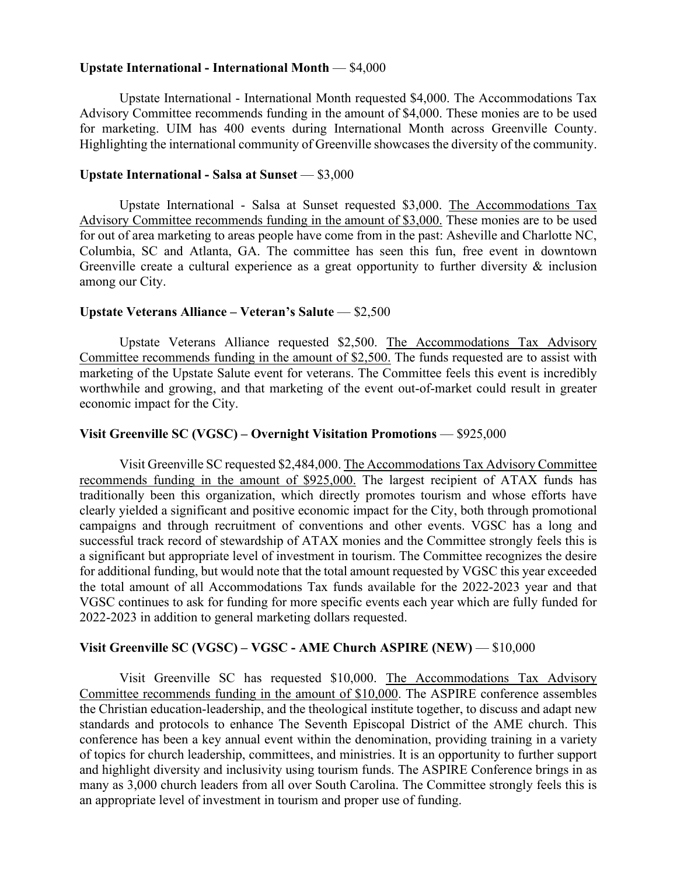#### **Upstate International - International Month** — \$4,000

Upstate International - International Month requested \$4,000. The Accommodations Tax Advisory Committee recommends funding in the amount of \$4,000. These monies are to be used for marketing. UIM has 400 events during International Month across Greenville County. Highlighting the international community of Greenville showcases the diversity of the community.

#### **Upstate International - Salsa at Sunset** — \$3,000

Upstate International - Salsa at Sunset requested \$3,000. The Accommodations Tax Advisory Committee recommends funding in the amount of \$3,000. These monies are to be used for out of area marketing to areas people have come from in the past: Asheville and Charlotte NC, Columbia, SC and Atlanta, GA. The committee has seen this fun, free event in downtown Greenville create a cultural experience as a great opportunity to further diversity & inclusion among our City.

#### **Upstate Veterans Alliance – Veteran's Salute** — \$2,500

Upstate Veterans Alliance requested \$2,500. The Accommodations Tax Advisory Committee recommends funding in the amount of \$2,500. The funds requested are to assist with marketing of the Upstate Salute event for veterans. The Committee feels this event is incredibly worthwhile and growing, and that marketing of the event out-of-market could result in greater economic impact for the City.

#### **Visit Greenville SC (VGSC) – Overnight Visitation Promotions** — \$925,000

Visit Greenville SC requested \$2,484,000. The Accommodations Tax Advisory Committee recommends funding in the amount of \$925,000. The largest recipient of ATAX funds has traditionally been this organization, which directly promotes tourism and whose efforts have clearly yielded a significant and positive economic impact for the City, both through promotional campaigns and through recruitment of conventions and other events. VGSC has a long and successful track record of stewardship of ATAX monies and the Committee strongly feels this is a significant but appropriate level of investment in tourism. The Committee recognizes the desire for additional funding, but would note that the total amount requested by VGSC this year exceeded the total amount of all Accommodations Tax funds available for the 2022-2023 year and that VGSC continues to ask for funding for more specific events each year which are fully funded for 2022-2023 in addition to general marketing dollars requested.

## **Visit Greenville SC (VGSC) – VGSC - AME Church ASPIRE (NEW)** — \$10,000

Visit Greenville SC has requested \$10,000. The Accommodations Tax Advisory Committee recommends funding in the amount of \$10,000. The ASPIRE conference assembles the Christian education-leadership, and the theological institute together, to discuss and adapt new standards and protocols to enhance The Seventh Episcopal District of the AME church. This conference has been a key annual event within the denomination, providing training in a variety of topics for church leadership, committees, and ministries. It is an opportunity to further support and highlight diversity and inclusivity using tourism funds. The ASPIRE Conference brings in as many as 3,000 church leaders from all over South Carolina. The Committee strongly feels this is an appropriate level of investment in tourism and proper use of funding.